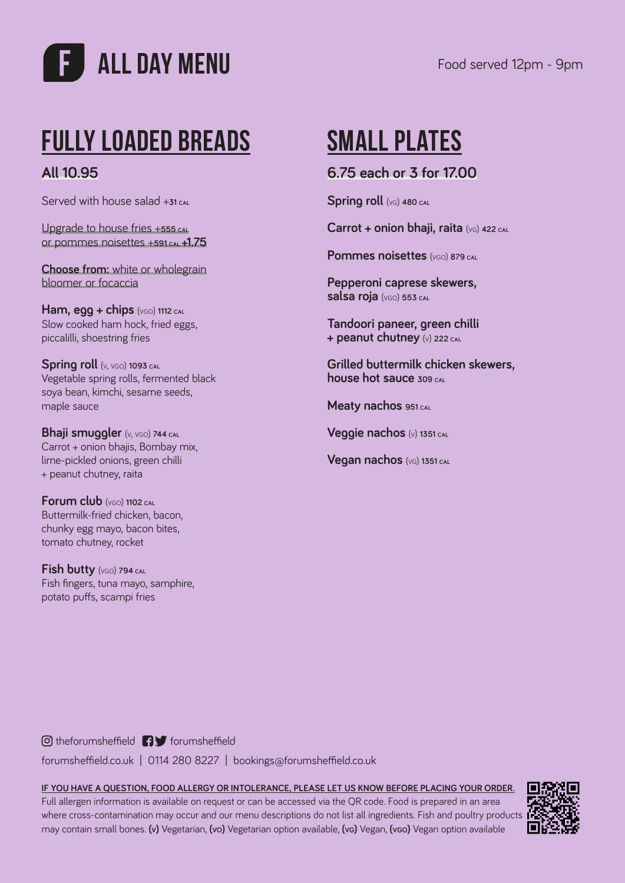

# **Fully Loaded Breads**

### **All 10.95**

Served with house salad +**31 cal**

Upgrade to house fries +**555 cal** or pommes noisettes +**591 cal +1.75**

**Choose from:** white or wholegrain bloomer or focaccia

**Ham, egg + chips**  $(v_{GO})$  1112 CAL Slow cooked ham hock, fried eggs, piccalilli, shoestring fries

**Spring roll**  $(v, v \infty)$  1093 CAL Vegetable spring rolls, fermented black soya bean, kimchi, sesame seeds, maple sauce

**Bhaji smuggler** (v, vgo) **744 cal** Carrot + onion bhajis, Bombay mix, lime-pickled onions, green chilli + peanut chutney, raita

**Forum club** (vgo) **1102 cal** Buttermilk-fried chicken, bacon, chunky egg mayo, bacon bites, tomato chutney, rocket

**Fish butty** (vgo) **794 cal** Fish fingers, tuna mayo, samphire, potato puffs, scampi fries

## **SMALL PLATES**

#### **6.75 each or 3 for 17.00**

**Spring roll** (vg) **480 cal**

**Carrot + onion bhaji, raita** (vg) **422 cal**

**Pommes noisettes** (vgo) **879 cal**

**Pepperoni caprese skewers, salsa roja** (vgo) **553 cal**

**Tandoori paneer, green chilli + peanut chutney** (v) **222 cal**

**Grilled buttermilk chicken skewers, house hot sauce 309 cal**

**Meaty nachos 951 cal**

**Veggie nachos** (v) **1351 cal**

**Vegan nachos** (vg) **1351 cal**

 $\odot$  theforumsheffield  $\bigcap$   $\bigcup$  forumsheffield

forumsheffield.co.uk | 0114 280 8227 | bookings@forumsheffield.co.uk

#### **IF YOU HAVE A QUESTION, FOOD ALLERGY OR INTOLERANCE, PLEASE LET US KNOW BEFORE PLACING YOUR ORDER.**

Full allergen information is available on request or can be accessed via the QR code. Food is prepared in an area where cross-contamination may occur and our menu descriptions do not list all ingredients. Fish and poultry products may contain small bones. **(v)** Vegetarian, **(vo)** Vegetarian option available, **(vg)** Vegan, **(vgo)** Vegan option available